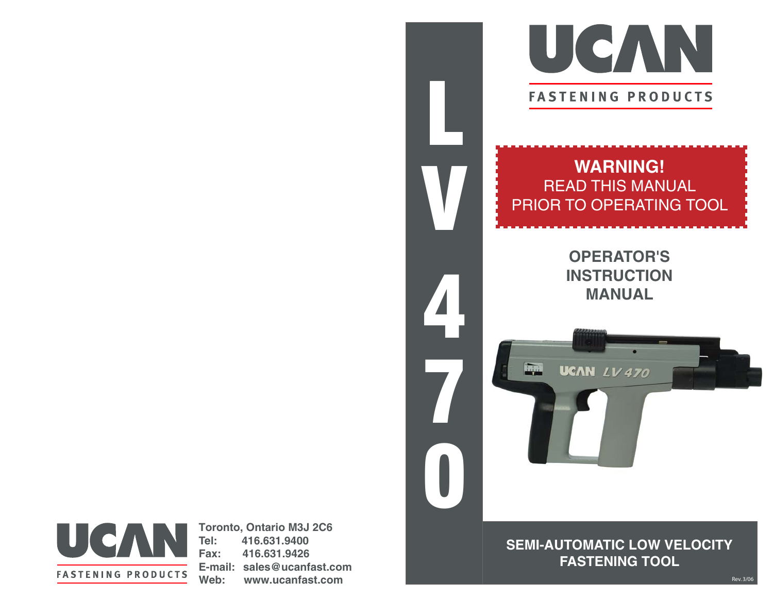

# **WARNING! READ THIS MANUAL** PRIOR TO OPERATING TOOL

**OPERATOR'S INSTRUCTION MANUAL** 

**UCAN LV 470** 

**Link** 



**Toronto, Ontario M3J 2C6** Tel: 416.631.9400 Fax: 416.631.9426 E-mail: sales@ucanfast.com Web: www.ucanfast.com

**SEMI-AUTOMATIC LOW VELOCITY FASTENING TOOL**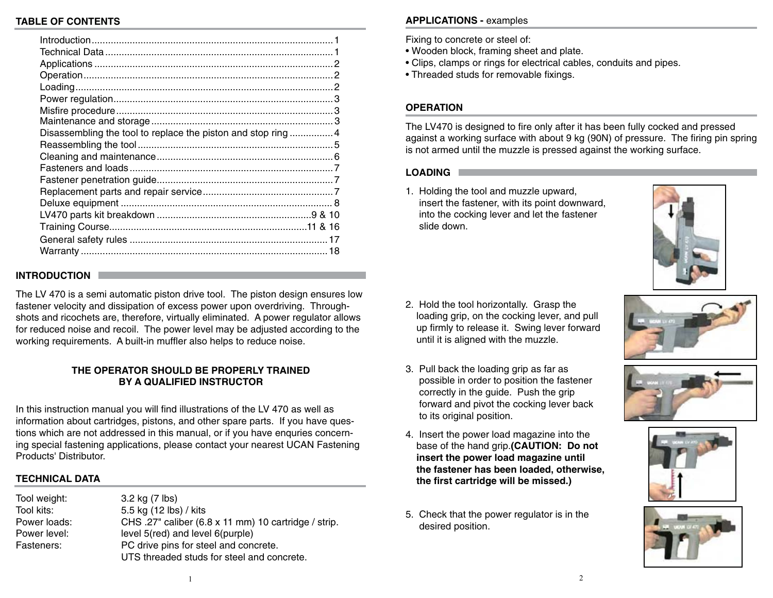# **TABLE OF CONTENTS**

| Disassembling the tool to replace the piston and stop ring 4 |  |
|--------------------------------------------------------------|--|
|                                                              |  |
|                                                              |  |
|                                                              |  |
|                                                              |  |
|                                                              |  |
|                                                              |  |
|                                                              |  |
|                                                              |  |
|                                                              |  |
|                                                              |  |
|                                                              |  |

# **INTRODUCTION**

The LV 470 is a semi automatic piston drive tool. The piston design ensures low fastener velocity and dissipation of excess power upon overdriving. Throughshots and ricochets are, therefore, virtually eliminated. A power regulator allows for reduced noise and recoil. The power level may be adjusted according to the working requirements. A built-in muffler also helps to reduce noise.

# THE OPERATOR SHOULD BE PROPERLY TRAINED **BY A QUALIFIED INSTRUCTOR**

In this instruction manual you will find illustrations of the LV 470 as well as information about cartridges, pistons, and other spare parts. If you have questions which are not addressed in this manual, or if you have enquries concerning special fastening applications, please contact your nearest UCAN Fastening Products' Distributor

# **TECHNICAL DATA**

| Tool weight: | 3.2 kg (7 lbs)                                       |  |
|--------------|------------------------------------------------------|--|
| Tool kits:   | 5.5 kg (12 lbs) / kits                               |  |
| Power loads: | CHS .27" caliber (6.8 x 11 mm) 10 cartridge / strip. |  |
| Power level: | level 5(red) and level 6(purple)                     |  |
| Fasteners:   | PC drive pins for steel and concrete.                |  |
|              | UTS threaded studs for steel and concrete.           |  |

# **APPLICATIONS - examples**

Fixing to concrete or steel of:

- . Wooden block, framing sheet and plate.
- Clips, clamps or rings for electrical cables, conduits and pipes.
- Threaded studs for removable fixings.

# **OPFRATION**

The LV470 is designed to fire only after it has been fully cocked and pressed against a working surface with about 9 kg (90N) of pressure. The firing pin spring is not armed until the muzzle is pressed against the working surface.

## **LOADING**

1. Holding the tool and muzzle upward, insert the fastener, with its point downward, into the cocking lever and let the fastener slide down.



- 2. Hold the tool horizontally. Grasp the loading grip, on the cocking lever, and pull up firmly to release it. Swing lever forward until it is aligned with the muzzle.
- 3. Pull back the loading grip as far as possible in order to position the fastener correctly in the quide. Push the grip forward and pivot the cocking lever back to its original position.
- 4. Insert the power load magazine into the base of the hand grip.(CAUTION: Do not insert the power load magazine until the fastener has been loaded, otherwise, the first cartridge will be missed.)
- 5. Check that the power regulator is in the desired position.







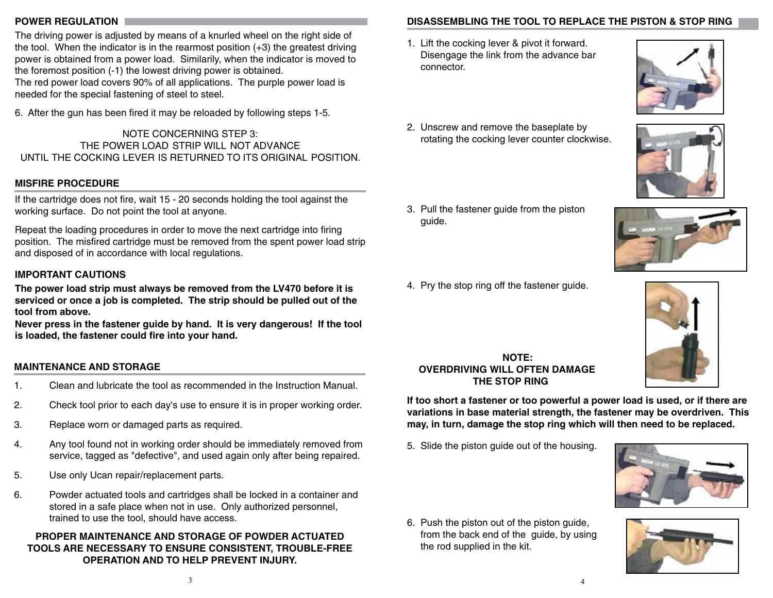# **POWER REGULATION**

The driving power is adjusted by means of a knurled wheel on the right side of the tool. When the indicator is in the rearmost position  $(+3)$  the greatest driving power is obtained from a power load. Similarily, when the indicator is moved to the foremost position (-1) the lowest driving power is obtained.

The red power load covers 90% of all applications. The purple power load is needed for the special fastening of steel to steel.

6. After the gun has been fired it may be reloaded by following steps 1-5.

NOTE CONCERNING STEP 3: THE POWER LOAD STRIP WILL NOT ADVANCE UNTIL THE COCKING LEVER IS RETURNED TO ITS ORIGINAL POSITION.

# **MISFIRE PROCEDURE**

If the cartridge does not fire, wait 15 - 20 seconds holding the tool against the working surface. Do not point the tool at anyone.

Repeat the loading procedures in order to move the next cartridge into firing position. The misfired cartridge must be removed from the spent power load strip and disposed of in accordance with local regulations.

# **IMPORTANT CAUTIONS**

The power load strip must always be removed from the LV470 before it is serviced or once a job is completed. The strip should be pulled out of the tool from above.

Never press in the fastener guide by hand. It is very dangerous! If the tool is loaded, the fastener could fire into your hand.

# **MAINTENANCE AND STORAGE**

- Clean and lubricate the tool as recommended in the Instruction Manual.  $\mathbf{1}$ .
- $2.$ Check tool prior to each day's use to ensure it is in proper working order.
- $3.$ Replace worn or damaged parts as required.
- Any tool found not in working order should be immediately removed from  $\overline{4}$ . service, tagged as "defective", and used again only after being repaired.
- $5<sub>1</sub>$ Use only Ucan repair/replacement parts.
- Powder actuated tools and cartridges shall be locked in a container and 6. stored in a safe place when not in use. Only authorized personnel, trained to use the tool, should have access.

# PROPER MAINTENANCE AND STORAGE OF POWDER ACTUATED **TOOLS ARE NECESSARY TO ENSURE CONSISTENT. TROUBLE-FREE OPERATION AND TO HELP PREVENT INJURY.**

# DISASSEMBLING THE TOOL TO REPLACE THE PISTON & STOP RING

1. Lift the cocking lever & pivot it forward. Disengage the link from the advance bar connector.



- 2. Unscrew and remove the baseplate by rotating the cocking lever counter clockwise.
- 3. Pull the fastener guide from the piston guide.
- 4. Pry the stop ring off the fastener guide.



NOTE: **OVERDRIVING WILL OFTEN DAMAGE** THE STOP RING

If too short a fastener or too powerful a power load is used, or if there are variations in base material strength, the fastener may be overdriven. This may, in turn, damage the stop ring which will then need to be replaced.

5. Slide the piston guide out of the housing.



6. Push the piston out of the piston guide, from the back end of the guide, by using the rod supplied in the kit.





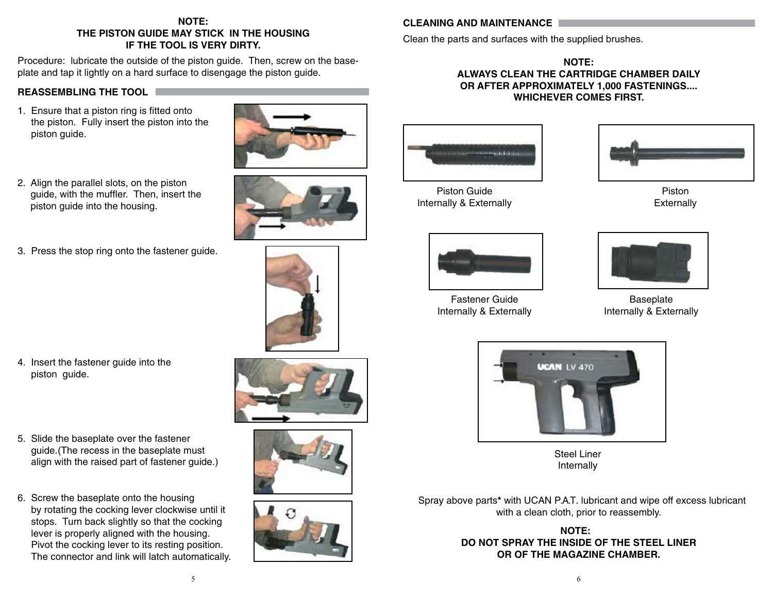# NOTE: THE PISTON GUIDE MAY STICK IN THE HOUSING IF THE TOOL IS VERY DIRTY.

Procedure: lubricate the outside of the piston guide. Then, screw on the baseplate and tap it lightly on a hard surface to disengage the piston guide.

## **REASSEMBLING THE TOOL F**

1. Ensure that a piston ring is fitted onto the piston. Fully insert the piston into the piston guide.



2. Align the parallel slots, on the piston quide, with the muffler. Then, insert the piston quide into the housing.





4. Insert the fastener guide into the piston guide.



6. Screw the baseplate onto the housing by rotating the cocking lever clockwise until it stops. Turn back slightly so that the cocking lever is properly aligned with the housing. Pivot the cocking lever to its resting position. The connector and link will latch automatically.

# **CLEANING AND MAINTENANCE**

Clean the parts and surfaces with the supplied brushes.

NOTE: ALWAYS CLEAN THE CARTRIDGE CHAMBER DAILY OR AFTER APPROXIMATELY 1,000 FASTENINGS.... **WHICHEVER COMES FIRST.** 



Piston Guide Internally & Externally



**Fastener Guide** Internally & Externally



Piston Externally



Baseplate Internally & Externally



**Steel Liner** Internally

Spray above parts\* with UCAN P.A.T. lubricant and wipe off excess lubricant with a clean cloth, prior to reassembly.

# **NOTE:** DO NOT SPRAY THE INSIDE OF THE STEEL LINER OR OF THE MAGAZINE CHAMBER.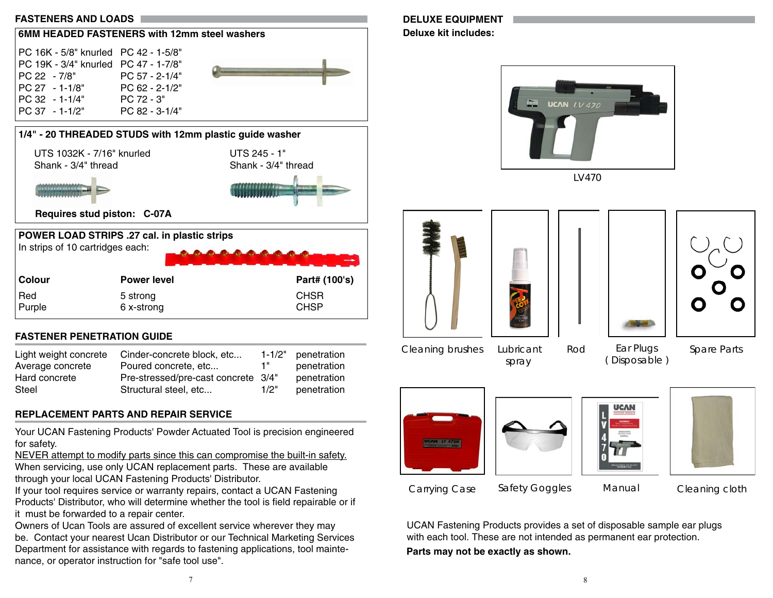



| Colour        | <b>Power level</b>     | Part# (100's)              |
|---------------|------------------------|----------------------------|
| Red<br>Purple | 5 strong<br>6 x-strong | <b>CHSR</b><br><b>CHSP</b> |
|               |                        |                            |

# **FASTENER PENETRATION GUIDE**

| Light weight concrete | Cinder-concrete block, etc          |      | 1-1/2" penetration |
|-----------------------|-------------------------------------|------|--------------------|
| Average concrete      | Poured concrete, etc                | -1 " | penetration        |
| Hard concrete         | Pre-stressed/pre-cast concrete 3/4" |      | penetration        |
| Steel                 | Structural steel, etc               | 1/2" | penetration        |

# **REPLACEMENT PARTS AND REPAIR SERVICE**

Your UCAN Fastening Products' Powder Actuated Tool is precision engineered for safety.

NEVER attempt to modify parts since this can compromise the built-in safety. When servicing, use only UCAN replacement parts. These are available through your local UCAN Fastening Products' Distributor.

If your tool requires service or warranty repairs, contact a UCAN Fastening Products' Distributor, who will determine whether the tool is field repairable or if it must be forwarded to a repair center.

Owners of Ucan Tools are assured of excellent service wherever they may be. Contact your nearest Ucan Distributor or our Technical Marketing Services Department for assistance with regards to fastening applications, tool maintenance, or operator instruction for "safe tool use".

# **DELUXE EQUIPMENT**

**Deluxe kit includes:** 



 $1<sub>V</sub>470$ 



spray

Rod (Disposable) Spare Parts









Carrying Case

**Safety Goggles** 

Manual

Cleaning cloth

UCAN Fastening Products provides a set of disposable sample ear plugs with each tool. These are not intended as permanent ear protection.

Parts may not be exactly as shown.

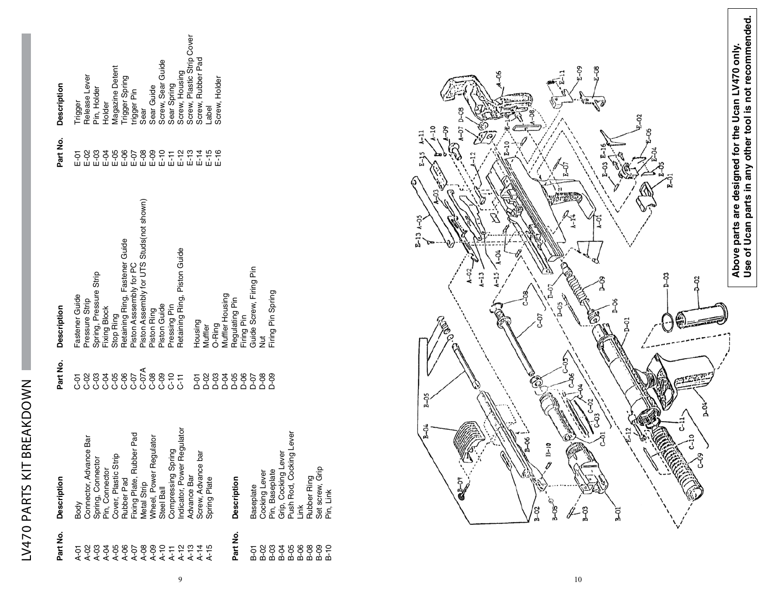# LV470 PARTS KIT BREAKDOWN

| Part No.                                                | <b>Description</b>                                                                                                                                           | Part No.  | <b>Description</b>                                        | Part No. | <b>Description</b>                                |
|---------------------------------------------------------|--------------------------------------------------------------------------------------------------------------------------------------------------------------|-----------|-----------------------------------------------------------|----------|---------------------------------------------------|
|                                                         | Body                                                                                                                                                         |           | Fastener Guide                                            |          |                                                   |
|                                                         | Connector, Advance Bar                                                                                                                                       |           | Pressure Strip                                            |          |                                                   |
| <b>いののひのののののけいりはちりのついののからのののかかいかんかんかんかんかんかんかんかんかんかん</b> | Spring, Connector<br>Pin, Connector<br>Cover, Plastic Strip<br>Rubber Pad<br>Fixing Plate, Rubber Pad<br>Metal Strip<br>Wheel, Power Regulator<br>Steel Ball |           | Spring, Pressure Strip                                    |          | Trigger<br>Release Lever<br>Pin, Holder<br>Holder |
|                                                         |                                                                                                                                                              |           | Fixing Block                                              |          |                                                   |
|                                                         |                                                                                                                                                              |           | Stop Ring                                                 |          |                                                   |
|                                                         |                                                                                                                                                              |           | Retaining Ring, Fastener Guide<br>Piston Asssembly for PC |          | Magazine Detent<br>Trigger Spring<br>trigger Pin  |
|                                                         |                                                                                                                                                              |           |                                                           |          |                                                   |
|                                                         |                                                                                                                                                              |           | Piston Assembly for UTS Studs(not shown)                  |          | Sear                                              |
|                                                         |                                                                                                                                                              |           | Piston Ring<br>Piston Guide                               |          |                                                   |
|                                                         |                                                                                                                                                              |           |                                                           |          | Sear Guide<br>Screw, Sear Guide                   |
|                                                         | pring<br>Compressing S                                                                                                                                       |           | Pressing Pin                                              |          | Sear Spring                                       |
|                                                         | Regulator                                                                                                                                                    |           | Retaining Ring, Piston Guide                              |          | Screw, Housing                                    |
|                                                         | Indicator, Power<br>Advance Bar                                                                                                                              |           |                                                           |          | Screw, Plastic Strip Cover                        |
|                                                         | bar<br>Screw, Advance                                                                                                                                        |           | Housing                                                   |          | Screw, Rubber Pad                                 |
|                                                         | Spring Plate                                                                                                                                                 |           | Muffler                                                   |          | Label                                             |
|                                                         |                                                                                                                                                              |           | O-Ring                                                    |          | Screw, Holder                                     |
|                                                         |                                                                                                                                                              |           | Muffler Housing                                           |          |                                                   |
| Part No.                                                | Description                                                                                                                                                  |           | Regulating Pin                                            |          |                                                   |
|                                                         |                                                                                                                                                              | 588398588 | Firing Pin                                                |          |                                                   |
|                                                         | Baseplate                                                                                                                                                    |           | Guide Screw, Firing Pin                                   |          |                                                   |
|                                                         |                                                                                                                                                              |           | $\frac{1}{2}$                                             |          |                                                   |
|                                                         |                                                                                                                                                              |           | Firing Pin Spring                                         |          |                                                   |
|                                                         | ever                                                                                                                                                         |           |                                                           |          |                                                   |
|                                                         | sing Lever                                                                                                                                                   |           |                                                           |          |                                                   |
| 583399992                                               | Cocking Lever<br>Pin, Baseplate<br>Grip, Cocking Le<br>Push Rod, Cock<br>Link                                                                                |           |                                                           |          |                                                   |
|                                                         |                                                                                                                                                              |           |                                                           |          |                                                   |
|                                                         |                                                                                                                                                              |           |                                                           |          |                                                   |
|                                                         | Rubber Ring<br>Set screw, Grip<br>Pin, Link                                                                                                                  |           |                                                           |          |                                                   |

 $\overline{9}$ 

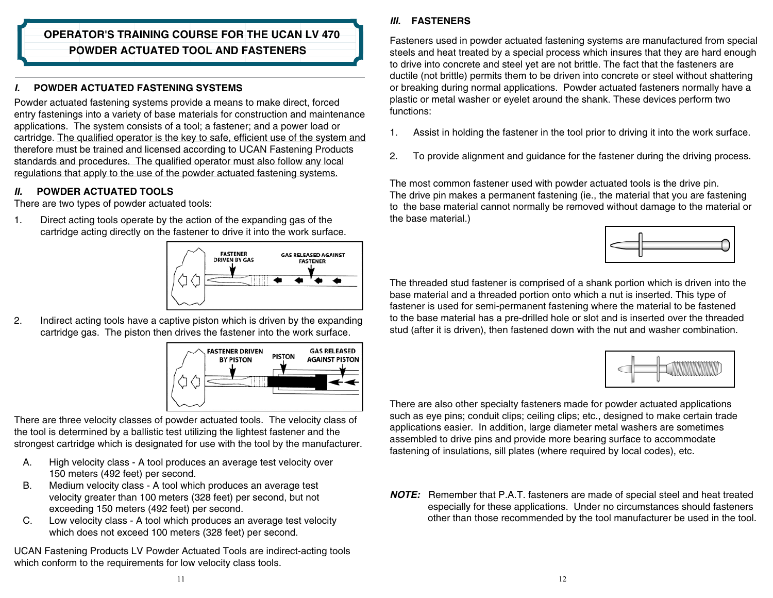# **OPERATOR'S TRAINING COURSE FOR THE UCAN LV 470 POWDER ACTUATED TOOL AND FASTENERS**

# POWDER ACTUATED FASTENING SYSTEMS

Powder actuated fastening systems provide a means to make direct, forced entry fastenings into a variety of base materials for construction and maintenance applications. The system consists of a tool; a fastener; and a power load or cartridge. The qualified operator is the key to safe, efficient use of the system and therefore must be trained and licensed according to UCAN Fastening Products standards and procedures. The qualified operator must also follow any local regulations that apply to the use of the powder actuated fastening systems.

### **POWDER ACTUATED TOOLS**  $II$ .

There are two types of powder actuated tools:

 $\mathbf{1}$ . Direct acting tools operate by the action of the expanding gas of the cartridge acting directly on the fastener to drive it into the work surface.



 $2.$ Indirect acting tools have a captive piston which is driven by the expanding cartridge gas. The piston then drives the fastener into the work surface.



There are three velocity classes of powder actuated tools. The velocity class of the tool is determined by a ballistic test utilizing the lightest fastener and the strongest cartridge which is designated for use with the tool by the manufacturer.

- $A_{1}$ High velocity class - A tool produces an average test velocity over 150 meters (492 feet) per second.
- Medium velocity class A tool which produces an average test **B.** velocity greater than 100 meters (328 feet) per second, but not exceeding 150 meters (492 feet) per second.
- $C_{1}$ Low velocity class - A tool which produces an average test velocity which does not exceed 100 meters (328 feet) per second.

UCAN Fastening Products LV Powder Actuated Tools are indirect-acting tools which conform to the requirements for low velocity class tools.

# **III. FASTENERS**

Fasteners used in powder actuated fastening systems are manufactured from special steels and heat treated by a special process which insures that they are hard enough to drive into concrete and steel yet are not brittle. The fact that the fasteners are ductile (not brittle) permits them to be driven into concrete or steel without shattering or breaking during normal applications. Powder actuated fasteners normally have a plastic or metal washer or evelet around the shank. These devices perform two functions:

- Assist in holding the fastener in the tool prior to driving it into the work surface. 1.
- $2.$ To provide alignment and guidance for the fastener during the driving process.

The most common fastener used with powder actuated tools is the drive pin. The drive pin makes a permanent fastening (ie., the material that you are fastening to the base material cannot normally be removed without damage to the material or the base material.)

The threaded stud fastener is comprised of a shank portion which is driven into the base material and a threaded portion onto which a nut is inserted. This type of fastener is used for semi-permanent fastening where the material to be fastened to the base material has a pre-drilled hole or slot and is inserted over the threaded stud (after it is driven), then fastened down with the nut and washer combination.



There are also other specialty fasteners made for powder actuated applications such as eve pins; conduit clips; ceiling clips; etc., designed to make certain trade applications easier. In addition, large diameter metal washers are sometimes assembled to drive pins and provide more bearing surface to accommodate fastening of insulations, sill plates (where required by local codes), etc.

**NOTE:** Remember that P.A.T. fasteners are made of special steel and heat treated especially for these applications. Under no circumstances should fasteners other than those recommended by the tool manufacturer be used in the tool.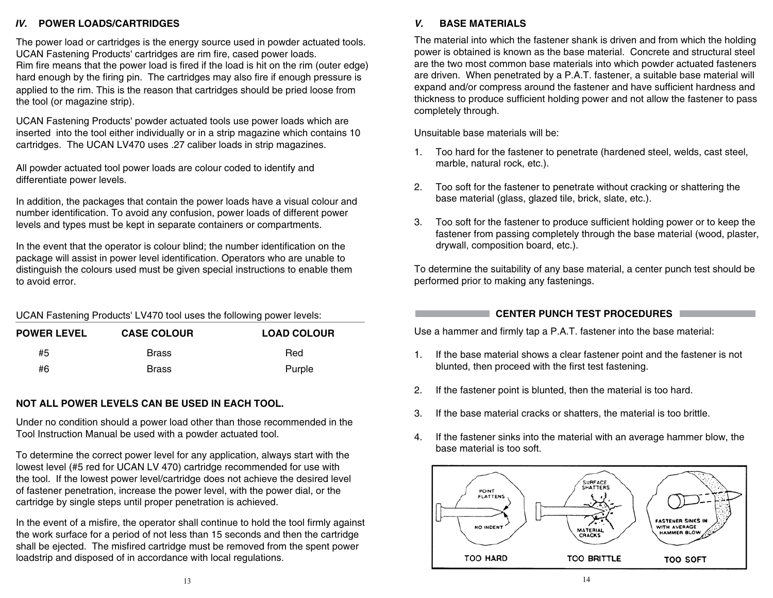# IV. POWER LOADS/CARTRIDGES

The power load or cartridges is the energy source used in powder actuated tools. UCAN Fastening Products' cartridges are rim fire, cased power loads. Rim fire means that the power load is fired if the load is hit on the rim (outer edge) hard enough by the firing pin. The cartridges may also fire if enough pressure is applied to the rim. This is the reason that cartridges should be pried loose from the tool (or magazine strip).

UCAN Fastening Products' powder actuated tools use power loads which are inserted into the tool either individually or in a strip magazine which contains 10 cartridges. The UCAN LV470 uses .27 caliber loads in strip magazines.

All powder actuated tool power loads are colour coded to identify and differentiate power levels.

In addition, the packages that contain the power loads have a visual colour and number identification. To avoid any confusion, power loads of different power levels and types must be kept in separate containers or compartments.

In the event that the operator is colour blind; the number identification on the package will assist in power level identification. Operators who are unable to distinguish the colours used must be given special instructions to enable them to avoid error.

| UCAN Fastening Products' LV470 tool uses the following power levels: |  |
|----------------------------------------------------------------------|--|
|                                                                      |  |

| <b>POWER LEVEL</b> | <b>CASE COLOUR</b> | <b>LOAD COLOUR</b> |
|--------------------|--------------------|--------------------|
| #5                 | <b>Brass</b>       | Red                |
| #6                 | <b>Brass</b>       | Purple             |

### NOT ALL POWER LEVELS CAN BE USED IN EACH TOOL.

Under no condition should a power load other than those recommended in the Tool Instruction Manual be used with a powder actuated tool.

To determine the correct power level for any application, always start with the lowest level (#5 red for UCAN LV 470) cartridge recommended for use with the tool. If the lowest power level/cartridge does not achieve the desired level of fastener penetration, increase the power level, with the power dial, or the cartridge by single steps until proper penetration is achieved.

In the event of a misfire, the operator shall continue to hold the tool firmly against the work surface for a period of not less than 15 seconds and then the cartridge shall be ejected. The misfired cartridge must be removed from the spent power loadstrip and disposed of in accordance with local regulations.

The material into which the fastener shank is driven and from which the holding power is obtained is known as the base material. Concrete and structural steel are the two most common base materials into which powder actuated fasteners are driven. When penetrated by a P.A.T. fastener, a suitable base material will expand and/or compress around the fastener and have sufficient hardness and thickness to produce sufficient holding power and not allow the fastener to pass completely through.

### Unsuitable base materials will be:

- 1. Too hard for the fastener to penetrate (hardened steel, welds, cast steel, marble, natural rock, etc.).
- 2. Too soft for the fastener to penetrate without cracking or shattering the base material (glass, glazed tile, brick, slate, etc.).
- Too soft for the fastener to produce sufficient holding power or to keep the 3. fastener from passing completely through the base material (wood, plaster, drywall, composition board, etc.).

To determine the suitability of any base material, a center punch test should be performed prior to making any fastenings.

# CENTER PUNCH TEST PROCEDURES

Use a hammer and firmly tap a P.A.T. fastener into the base material:

- 1. If the base material shows a clear fastener point and the fastener is not blunted, then proceed with the first test fastening.
- $2.$ If the fastener point is blunted, then the material is too hard.
- 3. If the base material cracks or shatters, the material is too brittle.
- If the fastener sinks into the material with an average hammer blow, the  $\overline{4}$ base material is too soft

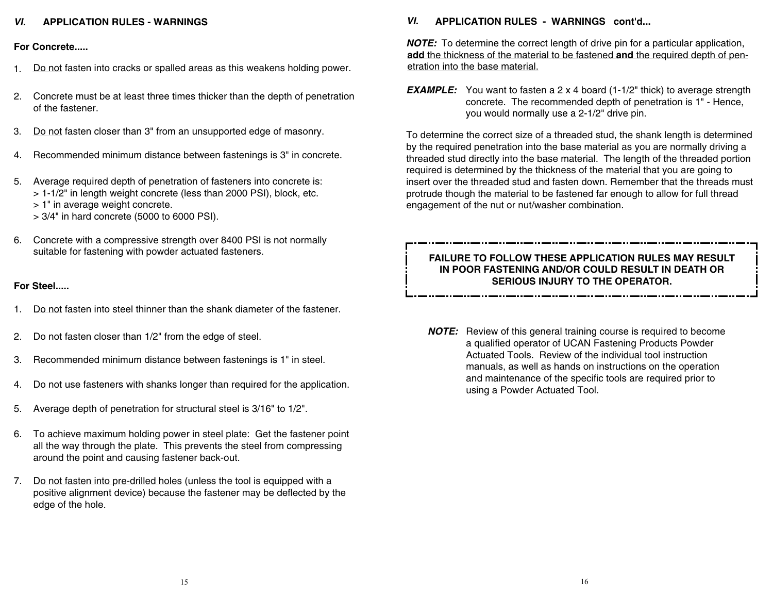# *VI.* APPLICATION RULES - WARNINGS

## **Eor Concrete....**

- 1. Do not fasten into cracks or spalled areas as this weakens holding power.
- 2. Concrete must be at least three times thicker than the depth of penetration of the fastener
- 3. Do not fasten closer than 3" from an unsupported edge of masonry.
- 4. Recommended minimum distance between fastenings is 3" in concrete.
- 5. Average required depth of penetration of fasteners into concrete is: > 1-1/2" in length weight concrete (less than 2000 PSI), block, etc. > 1" in average weight concrete.
	- > 3/4" in hard concrete (5000 to 6000 PSI).
- 6. Concrete with a compressive strength over 8400 PSI is not normally suitable for fastening with powder actuated fasteners.

# **For Steel.....**

- 1. Do not fasten into steel thinner than the shank diameter of the fastener.
- 2. Do not fasten closer than 1/2" from the edge of steel.
- 3. Recommended minimum distance between fastenings is 1" in steel.
- 4. Do not use fasteners with shanks longer than required for the application.
- 5. Average depth of penetration for structural steel is  $3/16$ " to  $1/2$ ".
- 6. To achieve maximum holding power in steel plate: Get the fastener point all the way through the plate. This prevents the steel from compressing around the point and causing fastener back-out.
- 7. Do not fasten into pre-drilled holes (unless the tool is equipped with a positive alignment device) because the fastener may be deflected by the edge of the hole.

# *VI.* APPLICATION RULES - WARNINGS cont'd...

**NOTE:** To determine the correct length of drive pin for a particular application, **add** the thickness of the material to be fastened and the required depth of penetration into the base material.

**EXAMPLE:** You want to fasten a 2 x 4 board (1-1/2" thick) to average strength concrete. The recommended depth of penetration is 1" - Hence, you would normally use a 2-1/2" drive pin.

To determine the correct size of a threaded stud, the shank length is determined by the required penetration into the base material as you are normally driving a threaded stud directly into the base material. The length of the threaded portion required is determined by the thickness of the material that you are going to insert over the threaded stud and fasten down. Remember that the threads must protrude though the material to be fastened far enough to allow for full thread engagement of the nut or nut/washer combination.

# **FAILURE TO FOLLOW THESE APPLICATION RULES MAY RESULT** IN POOR FASTENING AND/OR COULD RESULT IN DEATH OR **SERIOUS INJURY TO THE OPERATOR.**

**NOTE:** Review of this general training course is required to become a qualified operator of UCAN Fastening Products Powder Actuated Tools. Review of the individual tool instruction manuals, as well as hands on instructions on the operation and maintenance of the specific tools are required prior to using a Powder Actuated Tool.